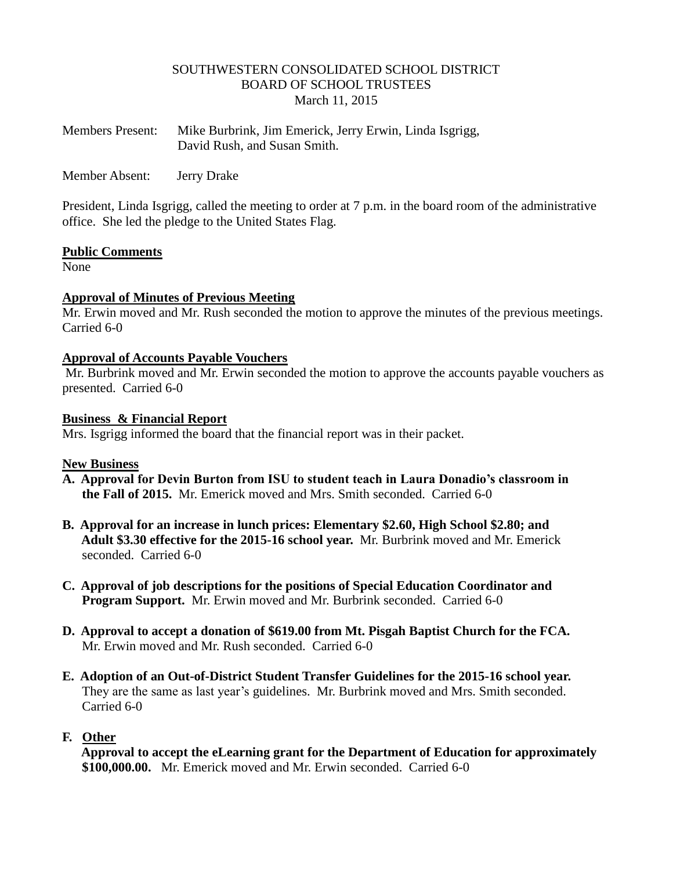# SOUTHWESTERN CONSOLIDATED SCHOOL DISTRICT BOARD OF SCHOOL TRUSTEES March 11, 2015

| <b>Members Present:</b> | Mike Burbrink, Jim Emerick, Jerry Erwin, Linda Isgrigg, |
|-------------------------|---------------------------------------------------------|
|                         | David Rush, and Susan Smith.                            |

Member Absent: Jerry Drake

President, Linda Isgrigg, called the meeting to order at 7 p.m. in the board room of the administrative office. She led the pledge to the United States Flag.

### **Public Comments**

None

# **Approval of Minutes of Previous Meeting**

Mr. Erwin moved and Mr. Rush seconded the motion to approve the minutes of the previous meetings. Carried 6-0

### **Approval of Accounts Payable Vouchers**

Mr. Burbrink moved and Mr. Erwin seconded the motion to approve the accounts payable vouchers as presented. Carried 6-0

### **Business & Financial Report**

Mrs. Isgrigg informed the board that the financial report was in their packet.

# **New Business**

- **A. Approval for Devin Burton from ISU to student teach in Laura Donadio's classroom in the Fall of 2015.** Mr. Emerick moved and Mrs. Smith seconded. Carried 6-0
- **B. Approval for an increase in lunch prices: Elementary \$2.60, High School \$2.80; and Adult \$3.30 effective for the 2015-16 school year.** Mr. Burbrink moved and Mr. Emerick seconded. Carried 6-0
- **C. Approval of job descriptions for the positions of Special Education Coordinator and Program Support.** Mr. Erwin moved and Mr. Burbrink seconded. Carried 6-0
- **D. Approval to accept a donation of \$619.00 from Mt. Pisgah Baptist Church for the FCA.** Mr. Erwin moved and Mr. Rush seconded. Carried 6-0
- **E. Adoption of an Out-of-District Student Transfer Guidelines for the 2015-16 school year.** They are the same as last year's guidelines. Mr. Burbrink moved and Mrs. Smith seconded. Carried 6-0

# **F. Other**

 **Approval to accept the eLearning grant for the Department of Education for approximately \$100,000.00.** Mr. Emerick moved and Mr. Erwin seconded. Carried 6-0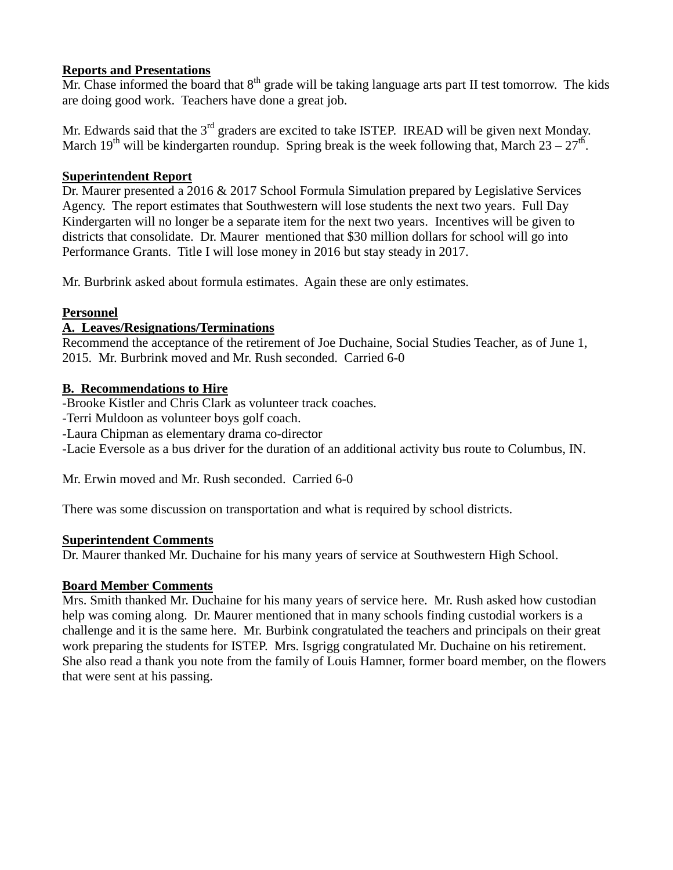# **Reports and Presentations**

Mr. Chase informed the board that  $8<sup>th</sup>$  grade will be taking language arts part II test tomorrow. The kids are doing good work. Teachers have done a great job.

Mr. Edwards said that the  $3<sup>rd</sup>$  graders are excited to take ISTEP. IREAD will be given next Monday. March 19<sup>th</sup> will be kindergarten roundup. Spring break is the week following that, March  $23 - 27$ <sup>th</sup>.

# **Superintendent Report**

Dr. Maurer presented a 2016 & 2017 School Formula Simulation prepared by Legislative Services Agency. The report estimates that Southwestern will lose students the next two years. Full Day Kindergarten will no longer be a separate item for the next two years. Incentives will be given to districts that consolidate. Dr. Maurer mentioned that \$30 million dollars for school will go into Performance Grants. Title I will lose money in 2016 but stay steady in 2017.

Mr. Burbrink asked about formula estimates. Again these are only estimates.

# **Personnel**

# **A. Leaves/Resignations/Terminations**

Recommend the acceptance of the retirement of Joe Duchaine, Social Studies Teacher, as of June 1, 2015. Mr. Burbrink moved and Mr. Rush seconded. Carried 6-0

# **B. Recommendations to Hire**

-Brooke Kistler and Chris Clark as volunteer track coaches.

-Terri Muldoon as volunteer boys golf coach.

-Laura Chipman as elementary drama co-director

-Lacie Eversole as a bus driver for the duration of an additional activity bus route to Columbus, IN.

Mr. Erwin moved and Mr. Rush seconded. Carried 6-0

There was some discussion on transportation and what is required by school districts.

# **Superintendent Comments**

Dr. Maurer thanked Mr. Duchaine for his many years of service at Southwestern High School.

# **Board Member Comments**

Mrs. Smith thanked Mr. Duchaine for his many years of service here. Mr. Rush asked how custodian help was coming along. Dr. Maurer mentioned that in many schools finding custodial workers is a challenge and it is the same here. Mr. Burbink congratulated the teachers and principals on their great work preparing the students for ISTEP. Mrs. Isgrigg congratulated Mr. Duchaine on his retirement. She also read a thank you note from the family of Louis Hamner, former board member, on the flowers that were sent at his passing.